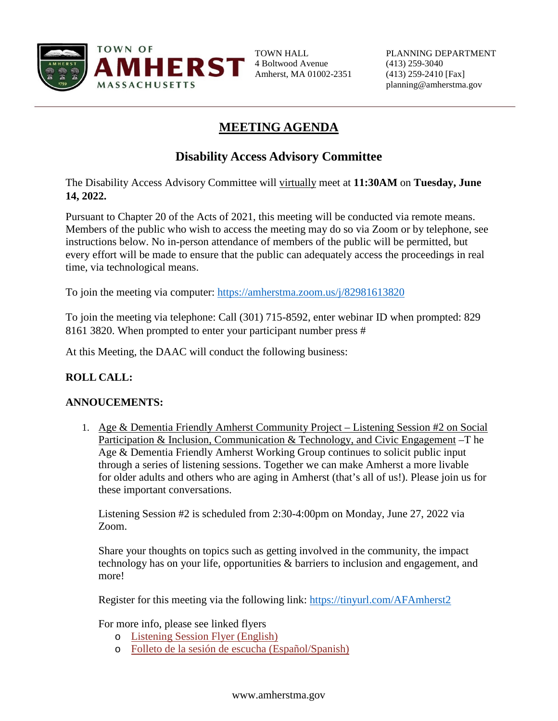

4 Boltwood Avenue (413) 259-3040 Amherst, MA 01002-2351 (413) 259-2410 [Fax]

# **MEETING AGENDA**

## **Disability Access Advisory Committee**

The Disability Access Advisory Committee will virtually meet at **11:30AM** on **Tuesday, June 14, 2022.**

Pursuant to Chapter 20 of the Acts of 2021, this meeting will be conducted via remote means. Members of the public who wish to access the meeting may do so via Zoom or by telephone, see instructions below. No in-person attendance of members of the public will be permitted, but every effort will be made to ensure that the public can adequately access the proceedings in real time, via technological means.

To join the meeting via computer:<https://amherstma.zoom.us/j/82981613820>

To join the meeting via telephone: Call (301) 715-8592, enter webinar ID when prompted: 829 8161 3820. When prompted to enter your participant number press #

At this Meeting, the DAAC will conduct the following business:

### **ROLL CALL:**

### **ANNOUCEMENTS:**

1. Age & Dementia Friendly Amherst Community Project – Listening Session #2 on Social Participation & Inclusion, Communication & Technology, and Civic Engagement –T he Age & Dementia Friendly Amherst Working Group continues to solicit public input through a series of listening sessions. Together we can make Amherst a more livable for older adults and others who are aging in Amherst (that's all of us!). Please join us for these important conversations.

Listening Session #2 is scheduled from 2:30-4:00pm on Monday, June 27, 2022 via Zoom.

Share your thoughts on topics such as getting involved in the community, the impact technology has on your life, opportunities & barriers to inclusion and engagement, and more!

Register for this meeting via the following link: [https://tinyurl.com/AFAmherst2](https://nam04.safelinks.protection.outlook.com/?url=https%3A%2F%2Ftinyurl.com%2FAFAmherst2&data=05%7C01%7Cpollockm%40amherstma.gov%7Cfded33c70afa46b39dd808da43df7fab%7C5817fd9a09da4a03a3a2e680501e2c52%7C0%7C0%7C637896925274032886%7CUnknown%7CTWFpbGZsb3d8eyJWIjoiMC4wLjAwMDAiLCJQIjoiV2luMzIiLCJBTiI6Ik1haWwiLCJXVCI6Mn0%3D%7C3000%7C%7C%7C&sdata=AWz18m9aHZFlgHBU0vO%2BrXcqA77dPX3B7xB51Qrd0uw%3D&reserved=0)

For more info, please see linked flyers

- o [Listening Session Flyer \(English\)](https://www.amherstma.gov/DocumentCenter/View/62005/AF-Amherst-Listening-Session-2-Event-Flyer_English)
- o [Folleto de la sesión de escucha \(Español/Spanish\)](https://www.amherstma.gov/DocumentCenter/View/62004/AF-Amherst-Listening-Session-2-Event-Flyer_Spanish)

#### www.amherstma.gov